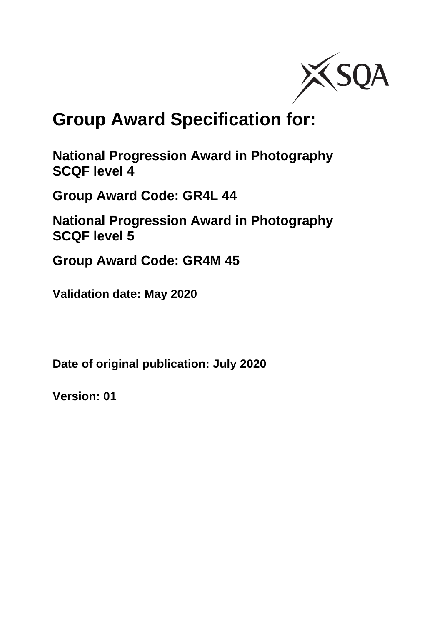

# **Group Award Specification for:**

**National Progression Award in Photography SCQF level 4**

**Group Award Code: GR4L 44**

**National Progression Award in Photography SCQF level 5**

**Group Award Code: GR4M 45**

**Validation date: May 2020**

**Date of original publication: July 2020**

**Version: 01**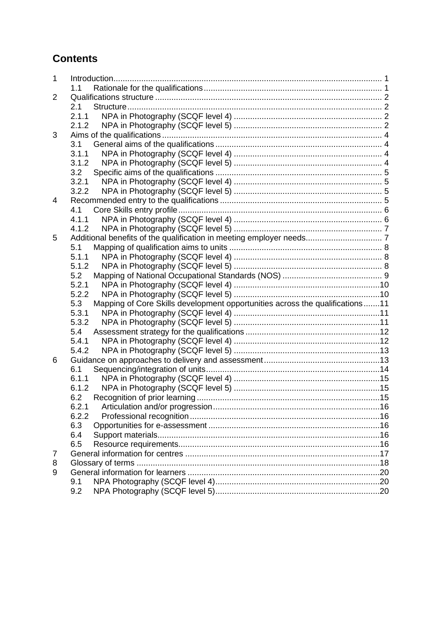#### **Contents**

| 1 |                                                                                       |  |
|---|---------------------------------------------------------------------------------------|--|
|   | 1.1                                                                                   |  |
| 2 |                                                                                       |  |
|   | 2.1                                                                                   |  |
|   | 2.1.1                                                                                 |  |
|   | 2.1.2                                                                                 |  |
| 3 |                                                                                       |  |
|   | 3.1                                                                                   |  |
|   | 3.1.1                                                                                 |  |
|   | 3.1.2                                                                                 |  |
|   | 3.2                                                                                   |  |
|   | 3.2.1                                                                                 |  |
|   | 3.2.2                                                                                 |  |
| 4 |                                                                                       |  |
|   | 4.1                                                                                   |  |
|   | 4.1.1                                                                                 |  |
|   | 4.1.2                                                                                 |  |
| 5 |                                                                                       |  |
|   | 5.1                                                                                   |  |
|   | 5.1.1                                                                                 |  |
|   | 5.1.2                                                                                 |  |
|   | 5.2                                                                                   |  |
|   | 5.2.1                                                                                 |  |
|   | 5.2.2<br>5.3                                                                          |  |
|   | Mapping of Core Skills development opportunities across the qualifications11<br>5.3.1 |  |
|   | 5.3.2                                                                                 |  |
|   | 5.4                                                                                   |  |
|   | 5.4.1                                                                                 |  |
|   | 5.4.2                                                                                 |  |
| 6 |                                                                                       |  |
|   | 6.1                                                                                   |  |
|   | 6.1.1                                                                                 |  |
|   | 6.1.2                                                                                 |  |
|   | 6.2                                                                                   |  |
|   |                                                                                       |  |
|   | 6.2.2                                                                                 |  |
|   | 6.3                                                                                   |  |
|   | 6.4                                                                                   |  |
|   | 6.5                                                                                   |  |
| 7 |                                                                                       |  |
| 8 |                                                                                       |  |
| 9 |                                                                                       |  |
|   | 9.1                                                                                   |  |
|   | 9.2                                                                                   |  |
|   |                                                                                       |  |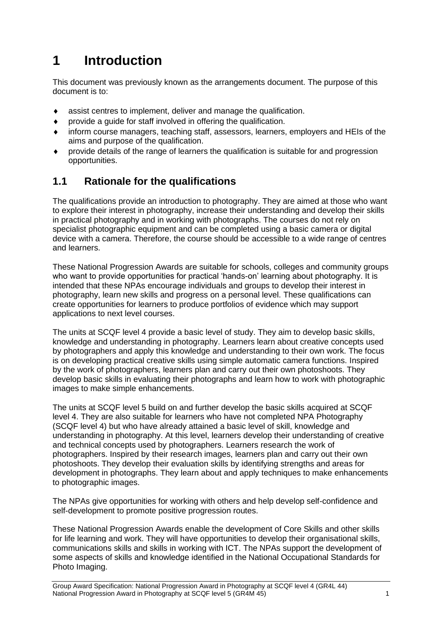## <span id="page-2-0"></span>**1 Introduction**

This document was previously known as the arrangements document. The purpose of this document is to:

- assist centres to implement, deliver and manage the qualification.
- provide a guide for staff involved in offering the qualification.
- inform course managers, teaching staff, assessors, learners, employers and HEIs of the aims and purpose of the qualification.
- provide details of the range of learners the qualification is suitable for and progression opportunities.

#### <span id="page-2-1"></span>**1.1 Rationale for the qualifications**

The qualifications provide an introduction to photography. They are aimed at those who want to explore their interest in photography, increase their understanding and develop their skills in practical photography and in working with photographs. The courses do not rely on specialist photographic equipment and can be completed using a basic camera or digital device with a camera. Therefore, the course should be accessible to a wide range of centres and learners.

These National Progression Awards are suitable for schools, colleges and community groups who want to provide opportunities for practical 'hands-on' learning about photography. It is intended that these NPAs encourage individuals and groups to develop their interest in photography, learn new skills and progress on a personal level. These qualifications can create opportunities for learners to produce portfolios of evidence which may support applications to next level courses.

The units at SCQF level 4 provide a basic level of study. They aim to develop basic skills, knowledge and understanding in photography. Learners learn about creative concepts used by photographers and apply this knowledge and understanding to their own work. The focus is on developing practical creative skills using simple automatic camera functions. Inspired by the work of photographers, learners plan and carry out their own photoshoots. They develop basic skills in evaluating their photographs and learn how to work with photographic images to make simple enhancements.

The units at SCQF level 5 build on and further develop the basic skills acquired at SCQF level 4. They are also suitable for learners who have not completed NPA Photography (SCQF level 4) but who have already attained a basic level of skill, knowledge and understanding in photography. At this level, learners develop their understanding of creative and technical concepts used by photographers. Learners research the work of photographers. Inspired by their research images, learners plan and carry out their own photoshoots. They develop their evaluation skills by identifying strengths and areas for development in photographs. They learn about and apply techniques to make enhancements to photographic images.

The NPAs give opportunities for working with others and help develop self-confidence and self-development to promote positive progression routes.

These National Progression Awards enable the development of Core Skills and other skills for life learning and work. They will have opportunities to develop their organisational skills, communications skills and skills in working with ICT. The NPAs support the development of some aspects of skills and knowledge identified in the National Occupational Standards for Photo Imaging.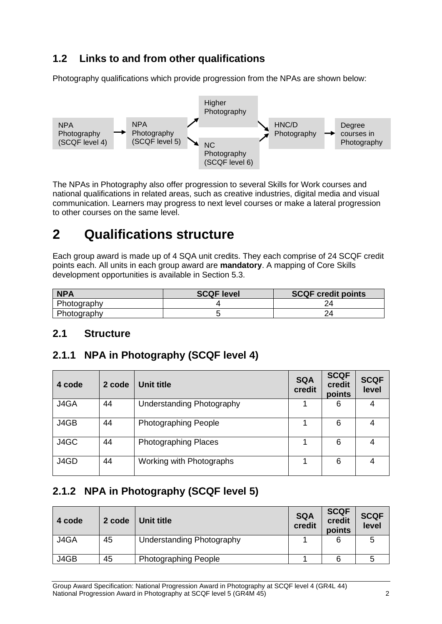#### **1.2 Links to and from other qualifications**

Photography qualifications which provide progression from the NPAs are shown below:



The NPAs in Photography also offer progression to several Skills for Work courses and national qualifications in related areas, such as creative industries, digital media and visual communication. Learners may progress to next level courses or make a lateral progression to other courses on the same level.

## <span id="page-3-0"></span>**2 Qualifications structure**

Each group award is made up of 4 SQA unit credits. They each comprise of 24 SCQF credit points each. All units in each group award are **mandatory**. A mapping of Core Skills development opportunities is available in Section 5.3.

| <b>NPA</b>  | <b>SCQF level</b> | <b>SCQF credit points</b> |
|-------------|-------------------|---------------------------|
| Photography |                   |                           |
| Photography |                   |                           |

#### <span id="page-3-1"></span>**2.1 Structure**

#### <span id="page-3-2"></span>**2.1.1 NPA in Photography (SCQF level 4)**

| 4 code | 2 code | Unit title                  | <b>SQA</b><br>credit | <b>SCQF</b><br>credit<br>points | <b>SCQF</b><br>level |
|--------|--------|-----------------------------|----------------------|---------------------------------|----------------------|
| J4GA   | 44     | Understanding Photography   |                      | 6                               | 4                    |
| J4GB   | 44     | <b>Photographing People</b> |                      | 6                               | 4                    |
| J4GC   | 44     | <b>Photographing Places</b> |                      | 6                               | 4                    |
| J4GD   | 44     | Working with Photographs    |                      | 6                               | 4                    |

### <span id="page-3-3"></span>**2.1.2 NPA in Photography (SCQF level 5)**

| 4 code | 2 code | Unit title                       | <b>SQA</b><br>credit | <b>SCQF</b><br>credit<br>points | <b>SCQF</b><br>level |
|--------|--------|----------------------------------|----------------------|---------------------------------|----------------------|
| J4GA   | 45     | <b>Understanding Photography</b> |                      | 6                               | 5                    |
| J4GB   | 45     | <b>Photographing People</b>      |                      |                                 |                      |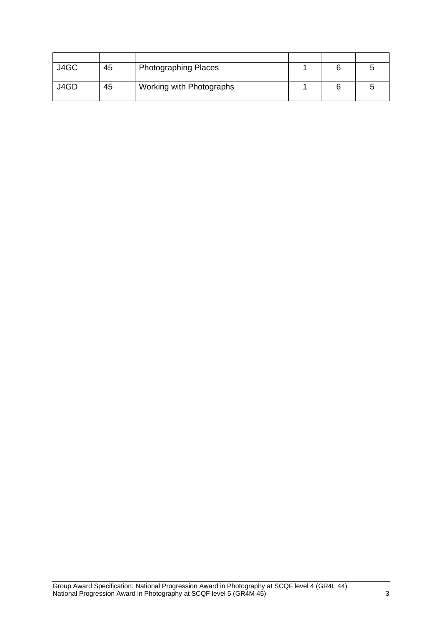| J4GC | 45 | <b>Photographing Places</b> |  |  |
|------|----|-----------------------------|--|--|
| J4GD | 45 | Working with Photographs    |  |  |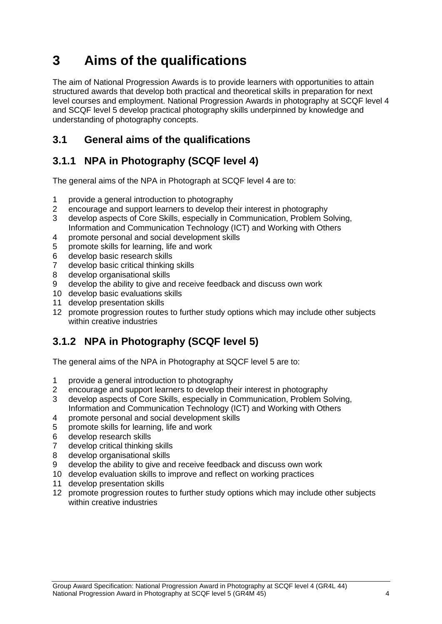## <span id="page-5-0"></span>**3 Aims of the qualifications**

The aim of National Progression Awards is to provide learners with opportunities to attain structured awards that develop both practical and theoretical skills in preparation for next level courses and employment. National Progression Awards in photography at SCQF level 4 and SCQF level 5 develop practical photography skills underpinned by knowledge and understanding of photography concepts.

#### <span id="page-5-1"></span>**3.1 General aims of the qualifications**

### <span id="page-5-2"></span>**3.1.1 NPA in Photography (SCQF level 4)**

The general aims of the NPA in Photograph at SCQF level 4 are to:

- 1 provide a general introduction to photography<br>2 encourage and support learners to develop the
- 2 encourage and support learners to develop their interest in photography
- 3 develop aspects of Core Skills, especially in Communication, Problem Solving, Information and Communication Technology (ICT) and Working with Others
- 4 promote personal and social development skills
- 5 promote skills for learning, life and work
- 6 develop basic research skills
- 7 develop basic critical thinking skills
- 8 develop organisational skills
- 9 develop the ability to give and receive feedback and discuss own work
- 10 develop basic evaluations skills
- 11 develop presentation skills
- 12 promote progression routes to further study options which may include other subjects within creative industries

#### <span id="page-5-3"></span>**3.1.2 NPA in Photography (SCQF level 5)**

The general aims of the NPA in Photography at SQCF level 5 are to:

- 1 provide a general introduction to photography
- 2 encourage and support learners to develop their interest in photography
- 3 develop aspects of Core Skills, especially in Communication, Problem Solving, Information and Communication Technology (ICT) and Working with Others
- 4 promote personal and social development skills
- 5 promote skills for learning, life and work
- 6 develop research skills
- 7 develop critical thinking skills
- 8 develop organisational skills
- 9 develop the ability to give and receive feedback and discuss own work
- 10 develop evaluation skills to improve and reflect on working practices
- 11 develop presentation skills
- 12 promote progression routes to further study options which may include other subjects within creative industries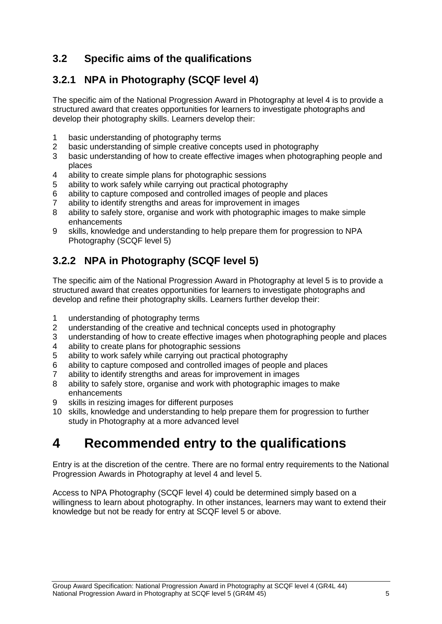#### <span id="page-6-0"></span>**3.2 Specific aims of the qualifications**

#### <span id="page-6-1"></span>**3.2.1 NPA in Photography (SCQF level 4)**

The specific aim of the National Progression Award in Photography at level 4 is to provide a structured award that creates opportunities for learners to investigate photographs and develop their photography skills. Learners develop their:

- 1 basic understanding of photography terms<br>2 basic understanding of simple creative con
- basic understanding of simple creative concepts used in photography
- 3 basic understanding of how to create effective images when photographing people and places
- 4 ability to create simple plans for photographic sessions
- 5 ability to work safely while carrying out practical photography
- 6 ability to capture composed and controlled images of people and places
- 7 ability to identify strengths and areas for improvement in images
- 8 ability to safely store, organise and work with photographic images to make simple enhancements
- 9 skills, knowledge and understanding to help prepare them for progression to NPA Photography (SCQF level 5)

#### <span id="page-6-2"></span>**3.2.2 NPA in Photography (SCQF level 5)**

The specific aim of the National Progression Award in Photography at level 5 is to provide a structured award that creates opportunities for learners to investigate photographs and develop and refine their photography skills. Learners further develop their:

- 1 understanding of photography terms
- 2 understanding of the creative and technical concepts used in photography
- 3 understanding of how to create effective images when photographing people and places
- 4 ability to create plans for photographic sessions
- 5 ability to work safely while carrying out practical photography
- 6 ability to capture composed and controlled images of people and places
- 7 ability to identify strengths and areas for improvement in images
- 8 ability to safely store, organise and work with photographic images to make enhancements
- 9 skills in resizing images for different purposes
- 10 skills, knowledge and understanding to help prepare them for progression to further study in Photography at a more advanced level

### <span id="page-6-3"></span>**4 Recommended entry to the qualifications**

Entry is at the discretion of the centre. There are no formal entry requirements to the National Progression Awards in Photography at level 4 and level 5.

Access to NPA Photography (SCQF level 4) could be determined simply based on a willingness to learn about photography. In other instances, learners may want to extend their knowledge but not be ready for entry at SCQF level 5 or above.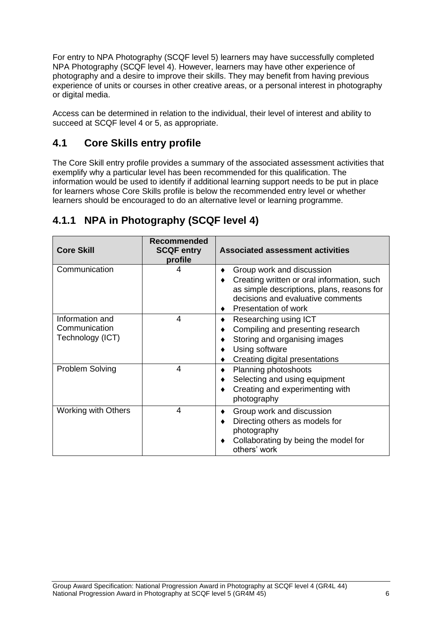For entry to NPA Photography (SCQF level 5) learners may have successfully completed NPA Photography (SCQF level 4). However, learners may have other experience of photography and a desire to improve their skills. They may benefit from having previous experience of units or courses in other creative areas, or a personal interest in photography or digital media.

Access can be determined in relation to the individual, their level of interest and ability to succeed at SCQF level 4 or 5, as appropriate.

#### <span id="page-7-0"></span>**4.1 Core Skills entry profile**

The Core Skill entry profile provides a summary of the associated assessment activities that exemplify why a particular level has been recommended for this qualification. The information would be used to identify if additional learning support needs to be put in place for learners whose Core Skills profile is below the recommended entry level or whether learners should be encouraged to do an alternative level or learning programme.

| <b>Core Skill</b>                                    | Recommended<br><b>SCQF entry</b><br>profile | <b>Associated assessment activities</b>                                                                                                                                            |
|------------------------------------------------------|---------------------------------------------|------------------------------------------------------------------------------------------------------------------------------------------------------------------------------------|
| Communication                                        | 4                                           | Group work and discussion<br>Creating written or oral information, such<br>as simple descriptions, plans, reasons for<br>decisions and evaluative comments<br>Presentation of work |
| Information and<br>Communication<br>Technology (ICT) | 4                                           | Researching using ICT<br>Compiling and presenting research<br>Storing and organising images<br>Using software<br>Creating digital presentations                                    |
| Problem Solving                                      | 4                                           | Planning photoshoots<br>Selecting and using equipment<br>Creating and experimenting with<br>photography                                                                            |
| <b>Working with Others</b>                           | 4                                           | Group work and discussion<br>Directing others as models for<br>photography<br>Collaborating by being the model for<br>others' work                                                 |

#### <span id="page-7-1"></span>**4.1.1 NPA in Photography (SCQF level 4)**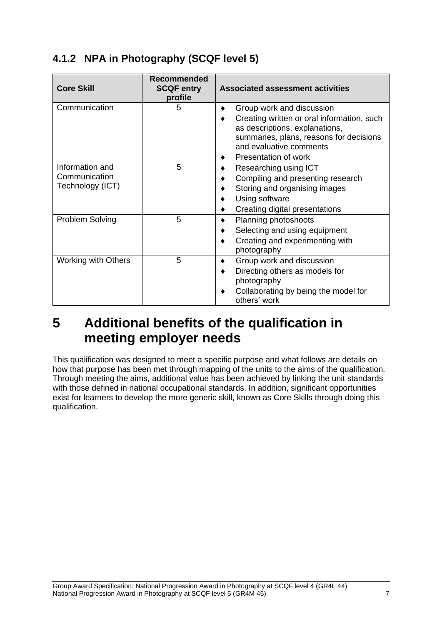### <span id="page-8-0"></span>**4.1.2 NPA in Photography (SCQF level 5)**

| <b>Core Skill</b>                                    | <b>Recommended</b><br><b>SCQF entry</b><br>profile | <b>Associated assessment activities</b>                                                                                                                                                                 |
|------------------------------------------------------|----------------------------------------------------|---------------------------------------------------------------------------------------------------------------------------------------------------------------------------------------------------------|
| Communication                                        | 5                                                  | Group work and discussion<br>Creating written or oral information, such<br>as descriptions, explanations,<br>summaries, plans, reasons for decisions<br>and evaluative comments<br>Presentation of work |
| Information and<br>Communication<br>Technology (ICT) | 5                                                  | Researching using ICT<br>Compiling and presenting research<br>Storing and organising images<br>Using software<br>Creating digital presentations                                                         |
| Problem Solving                                      | 5                                                  | Planning photoshoots<br>Selecting and using equipment<br>Creating and experimenting with<br>photography                                                                                                 |
| <b>Working with Others</b>                           | 5                                                  | Group work and discussion<br>Directing others as models for<br>photography<br>Collaborating by being the model for<br>others' work                                                                      |

### <span id="page-8-1"></span>**5 Additional benefits of the qualification in meeting employer needs**

This qualification was designed to meet a specific purpose and what follows are details on how that purpose has been met through mapping of the units to the aims of the qualification. Through meeting the aims, additional value has been achieved by linking the unit standards with those defined in national occupational standards. In addition, significant opportunities exist for learners to develop the more generic skill, known as Core Skills through doing this qualification.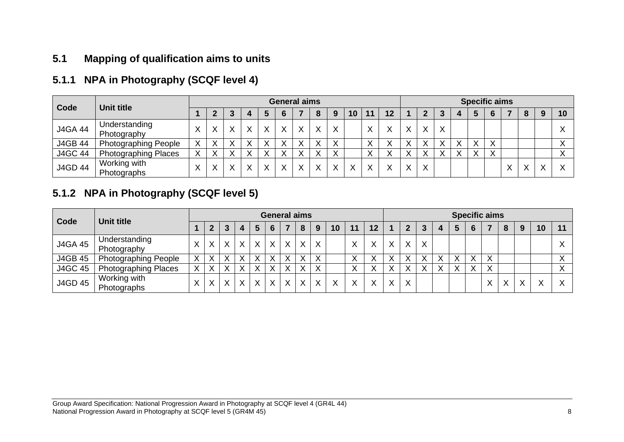#### **5.1 Mapping of qualification aims to units**

#### **5.1.1 NPA in Photography (SCQF level 4)**

| Code           | <b>Unit title</b>            |           | <b>General aims</b> |   |   |              |              |              |              |   |           |              | <b>Specific aims</b> |              |              |   |  |              |           |              |   |   |    |
|----------------|------------------------------|-----------|---------------------|---|---|--------------|--------------|--------------|--------------|---|-----------|--------------|----------------------|--------------|--------------|---|--|--------------|-----------|--------------|---|---|----|
|                |                              |           |                     |   |   |              | 6            |              | 8            | 9 | 10        | 11           | 12                   |              |              |   |  |              |           |              | 8 | 9 | 10 |
| <b>J4GA 44</b> | Understanding<br>Photography |           |                     |   | X | X            | X            | X            | X            | x |           | Χ            |                      | X            | X            | Х |  |              |           |              |   |   |    |
| <b>J4GB 44</b> | <b>Photographing People</b>  | $\lambda$ |                     |   |   |              | ∧            |              | $\lambda$    |   |           | ↗            |                      |              |              |   |  | $\lambda$    |           |              |   |   |    |
| <b>J4GC 44</b> | <b>Photographing Places</b>  |           |                     |   |   |              |              | ↘            |              |   |           |              |                      |              |              |   |  | $\checkmark$ | $\sqrt{}$ |              |   |   |    |
| <b>J4GD 44</b> | Working with<br>Photographs  |           |                     | v | X | $\checkmark$ | $\checkmark$ | $\checkmark$ | $\checkmark$ |   | $\sqrt{}$ | $\checkmark$ |                      | $\checkmark$ | $\checkmark$ |   |  |              |           | $\checkmark$ |   |   |    |

#### **5.1.2 NPA in Photography (SCQF level 5)**

<span id="page-9-2"></span><span id="page-9-1"></span><span id="page-9-0"></span>

| Code           | <b>Unit title</b>            |              | <b>General aims</b> |         |   |              |         |   |         |         |              | <b>Specific aims</b> |              |              |              |   |   |   |   |              |              |   |           |           |
|----------------|------------------------------|--------------|---------------------|---------|---|--------------|---------|---|---------|---------|--------------|----------------------|--------------|--------------|--------------|---|---|---|---|--------------|--------------|---|-----------|-----------|
|                |                              |              |                     | 3       | 4 | 5            | 6       |   | 8       | 9       | 10           | 11                   | 12           |              | 2            | 3 |   | 5 | 6 |              | 8            | 9 | 10        | 11        |
| <b>J4GA 45</b> | Understanding<br>Photography | X            |                     | $\sf X$ | X | $\sf X$      | $\sf X$ | X | $\sf X$ | $\sf X$ |              |                      | $\mathbf{v}$ | $\checkmark$ | $\checkmark$ | X |   |   |   |              |              |   |           |           |
| <b>J4GB 45</b> | <b>Photographing People</b>  | X            |                     | X       | Χ | X            | X       | v | X       | Χ       |              |                      |              |              | $\checkmark$ |   | v |   | X | $\checkmark$ |              |   |           |           |
| <b>J4GC 45</b> | <b>Photographing Places</b>  | X            |                     |         | Χ | X            | X       |   | X       | v       |              |                      |              |              |              |   | v |   | X |              |              |   |           | $\lambda$ |
| <b>J4GD 45</b> | Working with<br>Photographs  | $\checkmark$ |                     | $\vee$  | X | $\mathsf{X}$ | X       | X | X       | X       | $\checkmark$ |                      | $\mathbf{v}$ | $\checkmark$ | $\checkmark$ |   |   |   |   | $\checkmark$ | $\checkmark$ | Χ | $\sqrt{}$ |           |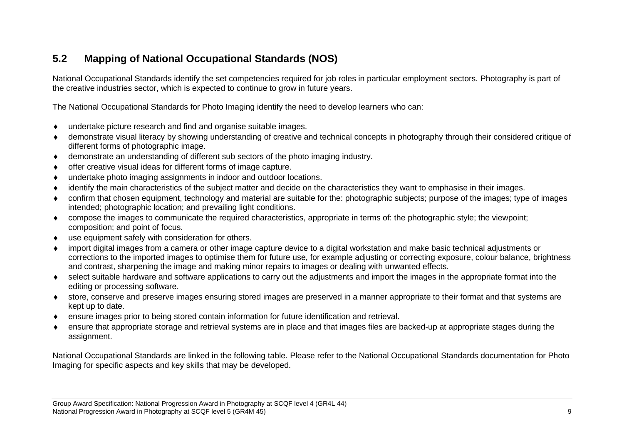#### **5.2 Mapping of National Occupational Standards (NOS)**

National Occupational Standards identify the set competencies required for job roles in particular employment sectors. Photography is part of the creative industries sector, which is expected to continue to grow in future years.

The National Occupational Standards for Photo Imaging identify the need to develop learners who can:

- undertake picture research and find and organise suitable images.
- demonstrate visual literacy by showing understanding of creative and technical concepts in photography through their considered critique of different forms of photographic image.
- demonstrate an understanding of different sub sectors of the photo imaging industry.
- offer creative visual ideas for different forms of image capture.
- undertake photo imaging assignments in indoor and outdoor locations.
- identify the main characteristics of the subject matter and decide on the characteristics they want to emphasise in their images.
- confirm that chosen equipment, technology and material are suitable for the: photographic subjects; purpose of the images; type of images intended; photographic location; and prevailing light conditions.
- compose the images to communicate the required characteristics, appropriate in terms of: the photographic style; the viewpoint; composition; and point of focus.
- <span id="page-10-0"></span>use equipment safely with consideration for others.
- import digital images from a camera or other image capture device to a digital workstation and make basic technical adjustments or corrections to the imported images to optimise them for future use, for example adjusting or correcting exposure, colour balance, brightness and contrast, sharpening the image and making minor repairs to images or dealing with unwanted effects.
- select suitable hardware and software applications to carry out the adjustments and import the images in the appropriate format into the editing or processing software.
- store, conserve and preserve images ensuring stored images are preserved in a manner appropriate to their format and that systems are kept up to date.
- ensure images prior to being stored contain information for future identification and retrieval.
- ensure that appropriate storage and retrieval systems are in place and that images files are backed-up at appropriate stages during the assignment.

National Occupational Standards are linked in the following table. Please refer to the National Occupational Standards documentation for Photo Imaging for specific aspects and key skills that may be developed.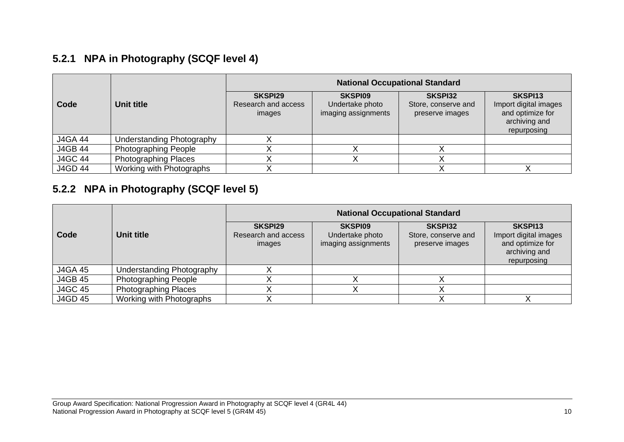### **5.2.1 NPA in Photography (SCQF level 4)**

|                |                             | <b>National Occupational Standard</b>    |                                                          |                                                          |                                                                                      |  |  |  |  |  |  |  |
|----------------|-----------------------------|------------------------------------------|----------------------------------------------------------|----------------------------------------------------------|--------------------------------------------------------------------------------------|--|--|--|--|--|--|--|
| Code           | <b>Unit title</b>           | SKSPI29<br>Research and access<br>images | <b>SKSPI09</b><br>Undertake photo<br>imaging assignments | <b>SKSPI32</b><br>Store, conserve and<br>preserve images | SKSPI13<br>Import digital images<br>and optimize for<br>archiving and<br>repurposing |  |  |  |  |  |  |  |
| <b>J4GA 44</b> | Understanding Photography   |                                          |                                                          |                                                          |                                                                                      |  |  |  |  |  |  |  |
| <b>J4GB 44</b> | <b>Photographing People</b> |                                          |                                                          |                                                          |                                                                                      |  |  |  |  |  |  |  |
| <b>J4GC 44</b> | <b>Photographing Places</b> |                                          |                                                          |                                                          |                                                                                      |  |  |  |  |  |  |  |
| <b>J4GD 44</b> | Working with Photographs    |                                          |                                                          |                                                          |                                                                                      |  |  |  |  |  |  |  |

#### **5.2.2 NPA in Photography (SCQF level 5)**

<span id="page-11-1"></span><span id="page-11-0"></span>

|                |                             | <b>National Occupational Standard</b>    |                                                          |                                                          |                                                                                      |  |  |  |  |  |  |  |
|----------------|-----------------------------|------------------------------------------|----------------------------------------------------------|----------------------------------------------------------|--------------------------------------------------------------------------------------|--|--|--|--|--|--|--|
| Code           | Unit title                  | SKSPI29<br>Research and access<br>images | <b>SKSPI09</b><br>Undertake photo<br>imaging assignments | <b>SKSPI32</b><br>Store, conserve and<br>preserve images | SKSPI13<br>Import digital images<br>and optimize for<br>archiving and<br>repurposing |  |  |  |  |  |  |  |
| <b>J4GA 45</b> | Understanding Photography   |                                          |                                                          |                                                          |                                                                                      |  |  |  |  |  |  |  |
| <b>J4GB 45</b> | <b>Photographing People</b> |                                          |                                                          |                                                          |                                                                                      |  |  |  |  |  |  |  |
| <b>J4GC 45</b> | <b>Photographing Places</b> |                                          |                                                          |                                                          |                                                                                      |  |  |  |  |  |  |  |
| J4GD 45        | Working with Photographs    |                                          |                                                          |                                                          |                                                                                      |  |  |  |  |  |  |  |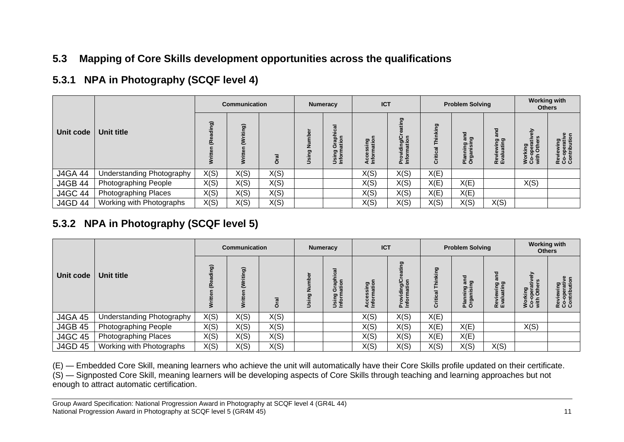#### **5.3 Mapping of Core Skills development opportunities across the qualifications**

#### **5.3.1 NPA in Photography (SCQF level 4)**

|                |                           |                | <b>Communication</b> |        |              | <b>Numeracy</b>                       |                                | <b>ICT</b>                            |                | <b>Problem Solving</b>                | <b>Working with</b><br><b>Others</b>             |                                            |                                         |
|----------------|---------------------------|----------------|----------------------|--------|--------------|---------------------------------------|--------------------------------|---------------------------------------|----------------|---------------------------------------|--------------------------------------------------|--------------------------------------------|-----------------------------------------|
| Unit code      | Unit title                | <b>@r</b><br>š | <b>i</b> gi<br>፣     | ಸ<br>ŏ | z<br>ဥ္<br>Ĕ | Graphical<br>ation<br>Using<br>Inform | sing<br>atior<br>Acce<br>Infor | ō<br>ing/C<br>ation<br>Provi<br>Infor | ក្ខ<br>Critica | ಕ<br>န္ပြဲ တ<br>Planning<br>Organisir | ಕ<br>ත ග<br>wing<br>atin<br>je<br>alu<br>ខ្ចុំដំ | 증<br>€<br>Working<br>Co-opera<br>with Othe | Reviewing<br>Co-operativ<br>Contributio |
| <b>J4GA 44</b> | Understanding Photography | X(S)           | X(S)                 | X(S)   |              |                                       | X(S)                           | X(S)                                  | X(E)           |                                       |                                                  |                                            |                                         |
| <b>J4GB 44</b> | Photographing People      | X(S)           | X(S)                 | X(S)   |              |                                       | X(S)                           | X(S)                                  | X(E)           | X(E)                                  |                                                  | X(S)                                       |                                         |
| <b>J4GC 44</b> | Photographing Places      | X(S)           | X(S)                 | X(S)   |              |                                       | X(S)                           | X(S)                                  | X(E)           | X(E)                                  |                                                  |                                            |                                         |
| <b>J4GD 44</b> | Working with Photographs  | X(S)           | X(S)                 | X(S)   |              |                                       | X(S)                           | X(S)                                  | X(S)           | X(S)                                  | X(S)                                             |                                            |                                         |

### **5.3.2 NPA in Photography (SCQF level 5)**

<span id="page-12-1"></span><span id="page-12-0"></span>

|                |                             | <b>Communication</b> |      | <b>Numeracy</b>       |           | <b>ICT</b>                            |                                                              | <b>Problem Solving</b>                 |        | <b>Working with</b><br><b>Others</b>      |                              |                                             |                                               |
|----------------|-----------------------------|----------------------|------|-----------------------|-----------|---------------------------------------|--------------------------------------------------------------|----------------------------------------|--------|-------------------------------------------|------------------------------|---------------------------------------------|-----------------------------------------------|
| Unit code      | Unit title                  | <b>@r</b><br>Ĕ<br>š  | ತಾ   | <u>ក្រ</u><br>$\circ$ | sing<br>∍ | Graphical<br>ation<br>Using<br>Inform | 문흥<br>$\bar{\bar{\bf{z}}}$<br><u>ក្រុ</u><br>ω<br>es<br>Leto | g<br>ing/C<br>ation<br>Provi<br>Inforn | ഊ<br>ō | ក្ខ<br>ត្រូ<br>lanning<br>Irganisir<br>ãō | 은 은<br>Reviewir<br>Evaluatiı | 즒<br>Working<br>Co-operative<br>with Others | ۶.<br>Reviewing<br>Co-operativ<br>Contributio |
| <b>J4GA 45</b> | Understanding Photography   | X(S)                 | X(S) | X(S)                  |           |                                       | X(S)                                                         | X(S)                                   | X(E)   |                                           |                              |                                             |                                               |
| <b>J4GB 45</b> | <b>Photographing People</b> | X(S)                 | X(S) | X(S)                  |           |                                       | X(S)                                                         | X(S)                                   | X(E)   | X(E)                                      |                              | X(S)                                        |                                               |
| <b>J4GC 45</b> | Photographing Places        | X(S)                 | X(S) | X(S)                  |           |                                       | X(S)                                                         | X(S)                                   | X(E)   | X(E)                                      |                              |                                             |                                               |
| J4GD 45        | Working with Photographs    | X(S)                 | X(S) | X(S)                  |           |                                       | X(S)                                                         | X(S)                                   | X(S)   | X(S)                                      | X(S)                         |                                             |                                               |

(E) — Embedded Core Skill, meaning learners who achieve the unit will automatically have their Core Skills profile updated on their certificate. (S) — Signposted Core Skill, meaning learners will be developing aspects of Core Skills through teaching and learning approaches but not enough to attract automatic certification.

<span id="page-12-2"></span>Group Award Specification: National Progression Award in Photography at SCQF level 4 (GR4L 44) National Progression Award in Photography at SCQF level 5 (GR4M 45) 11 and 2012 11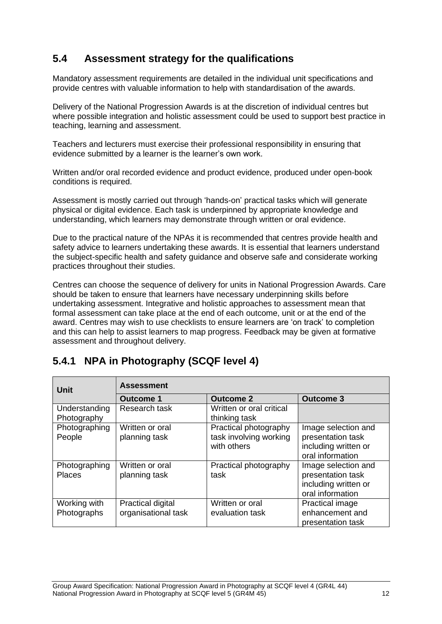#### <span id="page-13-0"></span>**5.4 Assessment strategy for the qualifications**

Mandatory assessment requirements are detailed in the individual unit specifications and provide centres with valuable information to help with standardisation of the awards.

Delivery of the National Progression Awards is at the discretion of individual centres but where possible integration and holistic assessment could be used to support best practice in teaching, learning and assessment.

Teachers and lecturers must exercise their professional responsibility in ensuring that evidence submitted by a learner is the learner's own work.

Written and/or oral recorded evidence and product evidence, produced under open-book conditions is required.

Assessment is mostly carried out through 'hands-on' practical tasks which will generate physical or digital evidence. Each task is underpinned by appropriate knowledge and understanding, which learners may demonstrate through written or oral evidence.

Due to the practical nature of the NPAs it is recommended that centres provide health and safety advice to learners undertaking these awards. It is essential that learners understand the subject-specific health and safety guidance and observe safe and considerate working practices throughout their studies.

Centres can choose the sequence of delivery for units in National Progression Awards. Care should be taken to ensure that learners have necessary underpinning skills before undertaking assessment. Integrative and holistic approaches to assessment mean that formal assessment can take place at the end of each outcome, unit or at the end of the award. Centres may wish to use checklists to ensure learners are 'on track' to completion and this can help to assist learners to map progress. Feedback may be given at formative assessment and throughout delivery.

#### <span id="page-13-1"></span>**5.4.1 NPA in Photography (SCQF level 4)**

| Unit                           | <b>Assessment</b>                        |                                                                |                                                                                      |  |  |  |
|--------------------------------|------------------------------------------|----------------------------------------------------------------|--------------------------------------------------------------------------------------|--|--|--|
|                                | <b>Outcome 1</b>                         | <b>Outcome 2</b>                                               | <b>Outcome 3</b>                                                                     |  |  |  |
| Understanding<br>Photography   | Research task                            | Written or oral critical<br>thinking task                      |                                                                                      |  |  |  |
| Photographing<br>People        | Written or oral<br>planning task         | Practical photography<br>task involving working<br>with others | Image selection and<br>presentation task<br>including written or<br>oral information |  |  |  |
| Photographing<br><b>Places</b> | Written or oral<br>planning task         | Practical photography<br>task                                  | Image selection and<br>presentation task<br>including written or<br>oral information |  |  |  |
| Working with<br>Photographs    | Practical digital<br>organisational task | Written or oral<br>evaluation task                             | <b>Practical image</b><br>enhancement and<br>presentation task                       |  |  |  |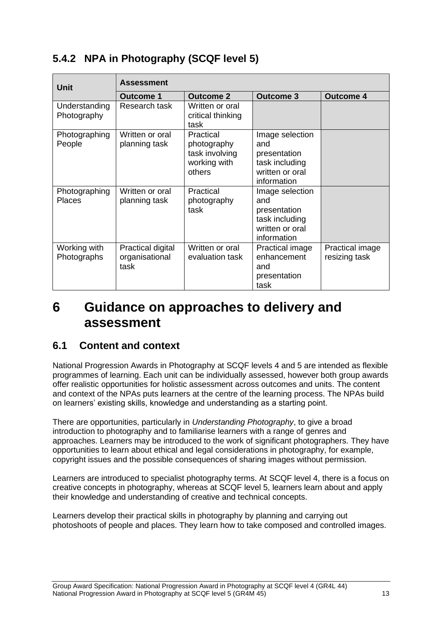#### <span id="page-14-0"></span>**5.4.2 NPA in Photography (SCQF level 5)**

| <b>Unit</b>                    | <b>Assessment</b>                           |                                                                      |                                                                                            |                                  |  |  |  |
|--------------------------------|---------------------------------------------|----------------------------------------------------------------------|--------------------------------------------------------------------------------------------|----------------------------------|--|--|--|
|                                | Outcome 1                                   | <b>Outcome 2</b>                                                     | <b>Outcome 3</b>                                                                           | <b>Outcome 4</b>                 |  |  |  |
| Understanding<br>Photography   | Research task                               | Written or oral<br>critical thinking<br>task                         |                                                                                            |                                  |  |  |  |
| Photographing<br>People        | Written or oral<br>planning task            | Practical<br>photography<br>task involving<br>working with<br>others | Image selection<br>and<br>presentation<br>task including<br>written or oral<br>information |                                  |  |  |  |
| Photographing<br><b>Places</b> | Written or oral<br>planning task            | Practical<br>photography<br>task                                     | Image selection<br>and<br>presentation<br>task including<br>written or oral<br>information |                                  |  |  |  |
| Working with<br>Photographs    | Practical digital<br>organisational<br>task | Written or oral<br>evaluation task                                   | Practical image<br>enhancement<br>and<br>presentation<br>task                              | Practical image<br>resizing task |  |  |  |

### <span id="page-14-1"></span>**6 Guidance on approaches to delivery and assessment**

#### **6.1 Content and context**

National Progression Awards in Photography at SCQF levels 4 and 5 are intended as flexible programmes of learning. Each unit can be individually assessed, however both group awards offer realistic opportunities for holistic assessment across outcomes and units. The content and context of the NPAs puts learners at the centre of the learning process. The NPAs build on learners' existing skills, knowledge and understanding as a starting point.

There are opportunities, particularly in *Understanding Photography*, to give a broad introduction to photography and to familiarise learners with a range of genres and approaches. Learners may be introduced to the work of significant photographers. They have opportunities to learn about ethical and legal considerations in photography, for example, copyright issues and the possible consequences of sharing images without permission.

Learners are introduced to specialist photography terms. At SCQF level 4, there is a focus on creative concepts in photography, whereas at SCQF level 5, learners learn about and apply their knowledge and understanding of creative and technical concepts.

Learners develop their practical skills in photography by planning and carrying out photoshoots of people and places. They learn how to take composed and controlled images.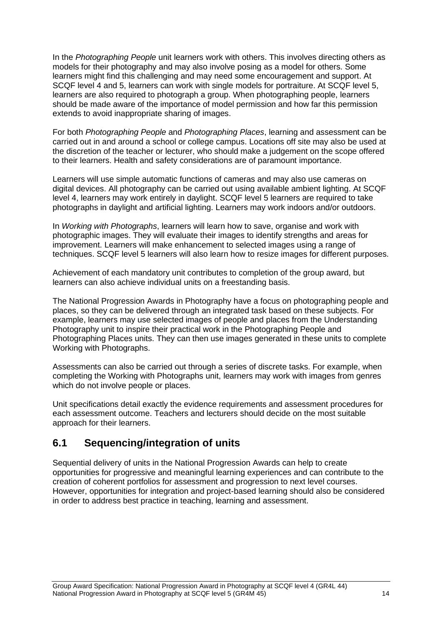In the *Photographing People* unit learners work with others. This involves directing others as models for their photography and may also involve posing as a model for others. Some learners might find this challenging and may need some encouragement and support. At SCQF level 4 and 5, learners can work with single models for portraiture. At SCQF level 5, learners are also required to photograph a group. When photographing people, learners should be made aware of the importance of model permission and how far this permission extends to avoid inappropriate sharing of images.

For both *Photographing People* and *Photographing Places*, learning and assessment can be carried out in and around a school or college campus. Locations off site may also be used at the discretion of the teacher or lecturer, who should make a judgement on the scope offered to their learners. Health and safety considerations are of paramount importance.

Learners will use simple automatic functions of cameras and may also use cameras on digital devices. All photography can be carried out using available ambient lighting. At SCQF level 4, learners may work entirely in daylight. SCQF level 5 learners are required to take photographs in daylight and artificial lighting. Learners may work indoors and/or outdoors.

In *Working with Photographs*, learners will learn how to save, organise and work with photographic images. They will evaluate their images to identify strengths and areas for improvement. Learners will make enhancement to selected images using a range of techniques. SCQF level 5 learners will also learn how to resize images for different purposes.

Achievement of each mandatory unit contributes to completion of the group award, but learners can also achieve individual units on a freestanding basis.

The National Progression Awards in Photography have a focus on photographing people and places, so they can be delivered through an integrated task based on these subjects. For example, learners may use selected images of people and places from the Understanding Photography unit to inspire their practical work in the Photographing People and Photographing Places units. They can then use images generated in these units to complete Working with Photographs.

Assessments can also be carried out through a series of discrete tasks. For example, when completing the Working with Photographs unit, learners may work with images from genres which do not involve people or places.

Unit specifications detail exactly the evidence requirements and assessment procedures for each assessment outcome. Teachers and lecturers should decide on the most suitable approach for their learners.

#### <span id="page-15-0"></span>**6.1 Sequencing/integration of units**

Sequential delivery of units in the National Progression Awards can help to create opportunities for progressive and meaningful learning experiences and can contribute to the creation of coherent portfolios for assessment and progression to next level courses. However, opportunities for integration and project-based learning should also be considered in order to address best practice in teaching, learning and assessment.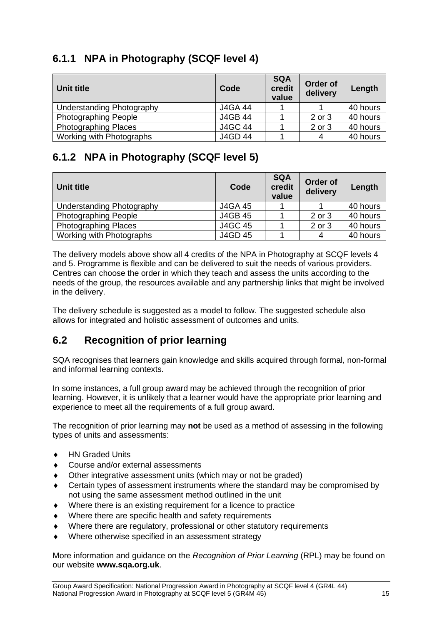#### <span id="page-16-0"></span>**6.1.1 NPA in Photography (SCQF level 4)**

| Unit title                  | Code           | <b>SQA</b><br>credit<br>value | Order of<br>delivery | Length   |
|-----------------------------|----------------|-------------------------------|----------------------|----------|
| Understanding Photography   | <b>J4GA 44</b> |                               |                      | 40 hours |
| <b>Photographing People</b> | <b>J4GB 44</b> |                               | 2 or 3               | 40 hours |
| <b>Photographing Places</b> | <b>J4GC 44</b> |                               | 2 or 3               | 40 hours |
| Working with Photographs    | <b>J4GD 44</b> |                               | 4                    | 40 hours |

#### <span id="page-16-1"></span>**6.1.2 NPA in Photography (SCQF level 5)**

| Unit title                  | Code           | <b>SQA</b><br>credit<br>value | Order of<br>delivery | Length   |
|-----------------------------|----------------|-------------------------------|----------------------|----------|
| Understanding Photography   | <b>J4GA 45</b> |                               |                      | 40 hours |
| <b>Photographing People</b> | <b>J4GB 45</b> |                               | 2 or 3               | 40 hours |
| <b>Photographing Places</b> | <b>J4GC 45</b> |                               | 2 or 3               | 40 hours |
| Working with Photographs    | J4GD 45        |                               | 4                    | 40 hours |

The delivery models above show all 4 credits of the NPA in Photography at SCQF levels 4 and 5. Programme is flexible and can be delivered to suit the needs of various providers. Centres can choose the order in which they teach and assess the units according to the needs of the group, the resources available and any partnership links that might be involved in the delivery.

The delivery schedule is suggested as a model to follow. The suggested schedule also allows for integrated and holistic assessment of outcomes and units.

#### <span id="page-16-2"></span>**6.2 Recognition of prior learning**

SQA recognises that learners gain knowledge and skills acquired through formal, non-formal and informal learning contexts.

In some instances, a full group award may be achieved through the recognition of prior learning. However, it is unlikely that a learner would have the appropriate prior learning and experience to meet all the requirements of a full group award.

The recognition of prior learning may **not** be used as a method of assessing in the following types of units and assessments:

- ◆ HN Graded Units
- Course and/or external assessments
- Other integrative assessment units (which may or not be graded)
- Certain types of assessment instruments where the standard may be compromised by not using the same assessment method outlined in the unit
- Where there is an existing requirement for a licence to practice
- Where there are specific health and safety requirements
- Where there are regulatory, professional or other statutory requirements
- Where otherwise specified in an assessment strategy

More information and guidance on the *Recognition of Prior Learning* (RPL) may be found on our website **[www.sqa.org.uk](http://www.sqa.org.uk/)**.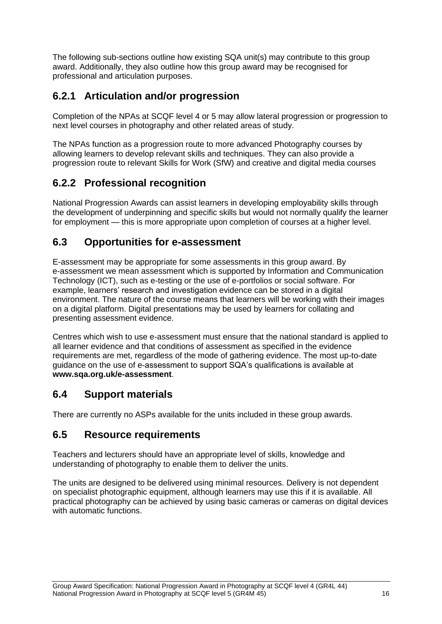The following sub-sections outline how existing SQA unit(s) may contribute to this group award. Additionally, they also outline how this group award may be recognised for professional and articulation purposes.

#### <span id="page-17-0"></span>**6.2.1 Articulation and/or progression**

Completion of the NPAs at SCQF level 4 or 5 may allow lateral progression or progression to next level courses in photography and other related areas of study.

The NPAs function as a progression route to more advanced Photography courses by allowing learners to develop relevant skills and techniques. They can also provide a progression route to relevant Skills for Work (SfW) and creative and digital media courses

#### <span id="page-17-1"></span>**6.2.2 Professional recognition**

National Progression Awards can assist learners in developing employability skills through the development of underpinning and specific skills but would not normally qualify the learner for employment — this is more appropriate upon completion of courses at a higher level.

#### <span id="page-17-2"></span>**6.3 Opportunities for e-assessment**

E-assessment may be appropriate for some assessments in this group award. By e-assessment we mean assessment which is supported by Information and Communication Technology (ICT), such as e-testing or the use of e-portfolios or social software. For example, learners' research and investigation evidence can be stored in a digital environment. The nature of the course means that learners will be working with their images on a digital platform. Digital presentations may be used by learners for collating and presenting assessment evidence.

Centres which wish to use e-assessment must ensure that the national standard is applied to all learner evidence and that conditions of assessment as specified in the evidence requirements are met, regardless of the mode of gathering evidence. The most up-to-date guidance on the use of e-assessment to support SQA's qualifications is available at **www.sqa.org.uk/e-assessment**.

#### <span id="page-17-3"></span>**6.4 Support materials**

There are currently no ASPs available for the units included in these group awards.

#### <span id="page-17-4"></span>**6.5 Resource requirements**

Teachers and lecturers should have an appropriate level of skills, knowledge and understanding of photography to enable them to deliver the units.

The units are designed to be delivered using minimal resources. Delivery is not dependent on specialist photographic equipment, although learners may use this if it is available. All practical photography can be achieved by using basic cameras or cameras on digital devices with automatic functions.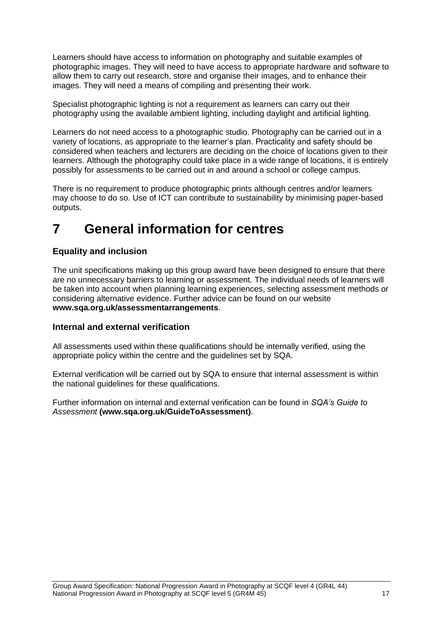Learners should have access to information on photography and suitable examples of photographic images. They will need to have access to appropriate hardware and software to allow them to carry out research, store and organise their images, and to enhance their images. They will need a means of compiling and presenting their work.

Specialist photographic lighting is not a requirement as learners can carry out their photography using the available ambient lighting, including daylight and artificial lighting.

Learners do not need access to a photographic studio. Photography can be carried out in a variety of locations, as appropriate to the learner's plan. Practicality and safety should be considered when teachers and lecturers are deciding on the choice of locations given to their learners. Although the photography could take place in a wide range of locations, it is entirely possibly for assessments to be carried out in and around a school or college campus.

There is no requirement to produce photographic prints although centres and/or learners may choose to do so. Use of ICT can contribute to sustainability by minimising paper-based outputs.

## <span id="page-18-0"></span>**7 General information for centres**

#### **Equality and inclusion**

The unit specifications making up this group award have been designed to ensure that there are no unnecessary barriers to learning or assessment. The individual needs of learners will be taken into account when planning learning experiences, selecting assessment methods or considering alternative evidence. Further advice can be found on our website **[www.sqa.org.uk/assessmentarrangements](http://www.sqa.org.uk/sqa/14977.html)**.

#### **Internal and external verification**

All assessments used within these qualifications should be internally verified, using the appropriate policy within the centre and the guidelines set by SQA.

External verification will be carried out by SQA to ensure that internal assessment is within the national guidelines for these qualifications.

Further information on internal and external verification can be found in *SQA's Guide to Assessment* **[\(www.sqa.org.uk/GuideToAssessment\)](http://www.sqa.org.uk/sqa/files_ccc/GuideToAssessment.pdf)**.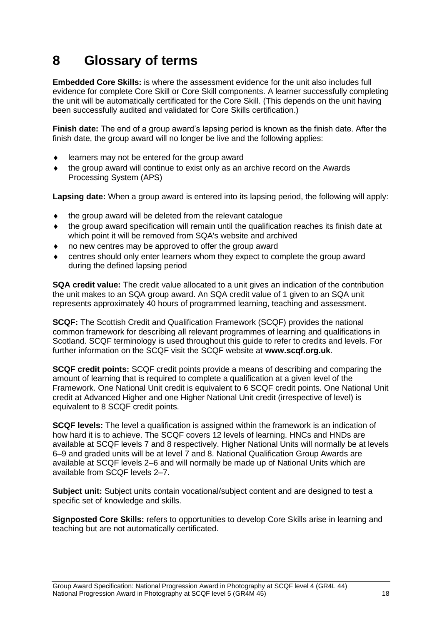## <span id="page-19-0"></span>**8 Glossary of terms**

**Embedded Core Skills:** is where the assessment evidence for the unit also includes full evidence for complete Core Skill or Core Skill components. A learner successfully completing the unit will be automatically certificated for the Core Skill. (This depends on the unit having been successfully audited and validated for Core Skills certification.)

**Finish date:** The end of a group award's lapsing period is known as the finish date. After the finish date, the group award will no longer be live and the following applies:

- learners may not be entered for the group award
- the group award will continue to exist only as an archive record on the Awards Processing System (APS)

**Lapsing date:** When a group award is entered into its lapsing period, the following will apply:

- the group award will be deleted from the relevant catalogue
- the group award specification will remain until the qualification reaches its finish date at which point it will be removed from SQA's website and archived
- no new centres may be approved to offer the group award
- centres should only enter learners whom they expect to complete the group award during the defined lapsing period

**SQA credit value:** The credit value allocated to a unit gives an indication of the contribution the unit makes to an SQA group award. An SQA credit value of 1 given to an SQA unit represents approximately 40 hours of programmed learning, teaching and assessment.

**SCQF:** The Scottish Credit and Qualification Framework (SCQF) provides the national common framework for describing all relevant programmes of learning and qualifications in Scotland. SCQF terminology is used throughout this guide to refer to credits and levels. For further information on the SCQF visit the SCQF website at **[www.scqf.org.uk](http://www.scqf.org.uk/)**.

**SCQF credit points:** SCQF credit points provide a means of describing and comparing the amount of learning that is required to complete a qualification at a given level of the Framework. One National Unit credit is equivalent to 6 SCQF credit points. One National Unit credit at Advanced Higher and one Higher National Unit credit (irrespective of level) is equivalent to 8 SCQF credit points.

**SCQF levels:** The level a qualification is assigned within the framework is an indication of how hard it is to achieve. The SCQF covers 12 levels of learning. HNCs and HNDs are available at SCQF levels 7 and 8 respectively. Higher National Units will normally be at levels 6–9 and graded units will be at level 7 and 8. National Qualification Group Awards are available at SCQF levels 2–6 and will normally be made up of National Units which are available from SCQF levels 2–7.

**Subject unit:** Subject units contain vocational/subject content and are designed to test a specific set of knowledge and skills.

**Signposted Core Skills:** refers to opportunities to develop Core Skills arise in learning and teaching but are not automatically certificated.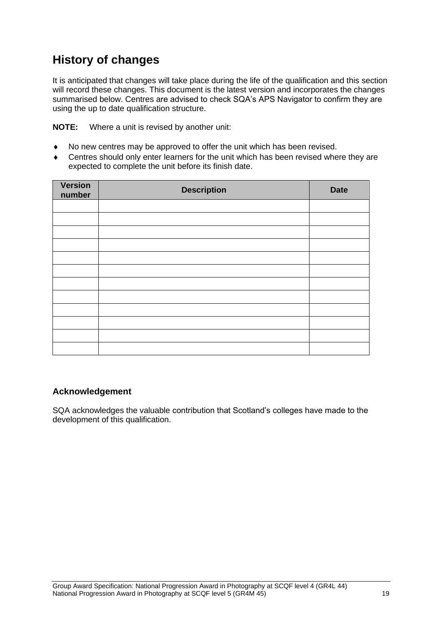### **History of changes**

It is anticipated that changes will take place during the life of the qualification and this section will record these changes. This document is the latest version and incorporates the changes summarised below. Centres are advised to check SQA's APS Navigator to confirm they are using the up to date qualification structure.

**NOTE:** Where a unit is revised by another unit:

- No new centres may be approved to offer the unit which has been revised.
- Centres should only enter learners for the unit which has been revised where they are expected to complete the unit before its finish date.

| <b>Version</b><br>number | <b>Description</b> | <b>Date</b> |
|--------------------------|--------------------|-------------|
|                          |                    |             |
|                          |                    |             |
|                          |                    |             |
|                          |                    |             |
|                          |                    |             |
|                          |                    |             |
|                          |                    |             |
|                          |                    |             |
|                          |                    |             |
|                          |                    |             |
|                          |                    |             |
|                          |                    |             |

#### **Acknowledgement**

SQA acknowledges the valuable contribution that Scotland's colleges have made to the development of this qualification.